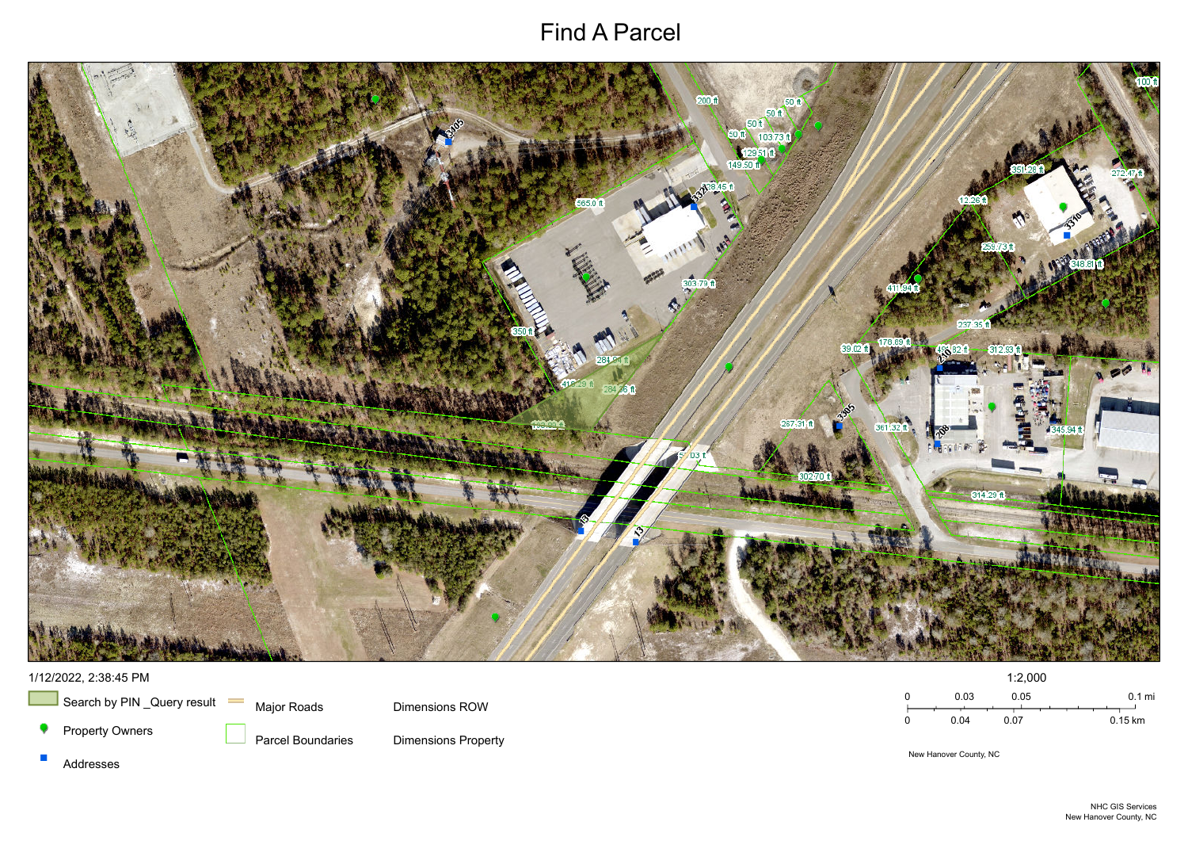# Find A Parcel



New Hanover County, NC

 $\mathcal{C}^{\mathcal{A}}$ Addresses



Major Roads

Parcel Boundaries

Dimensions ROW

Dimensions Property

# 1/12/2022, 2:38:45 PM



 $\overline{\phantom{a}}$  Search by PIN \_Query result  $\phantom{a}$ 

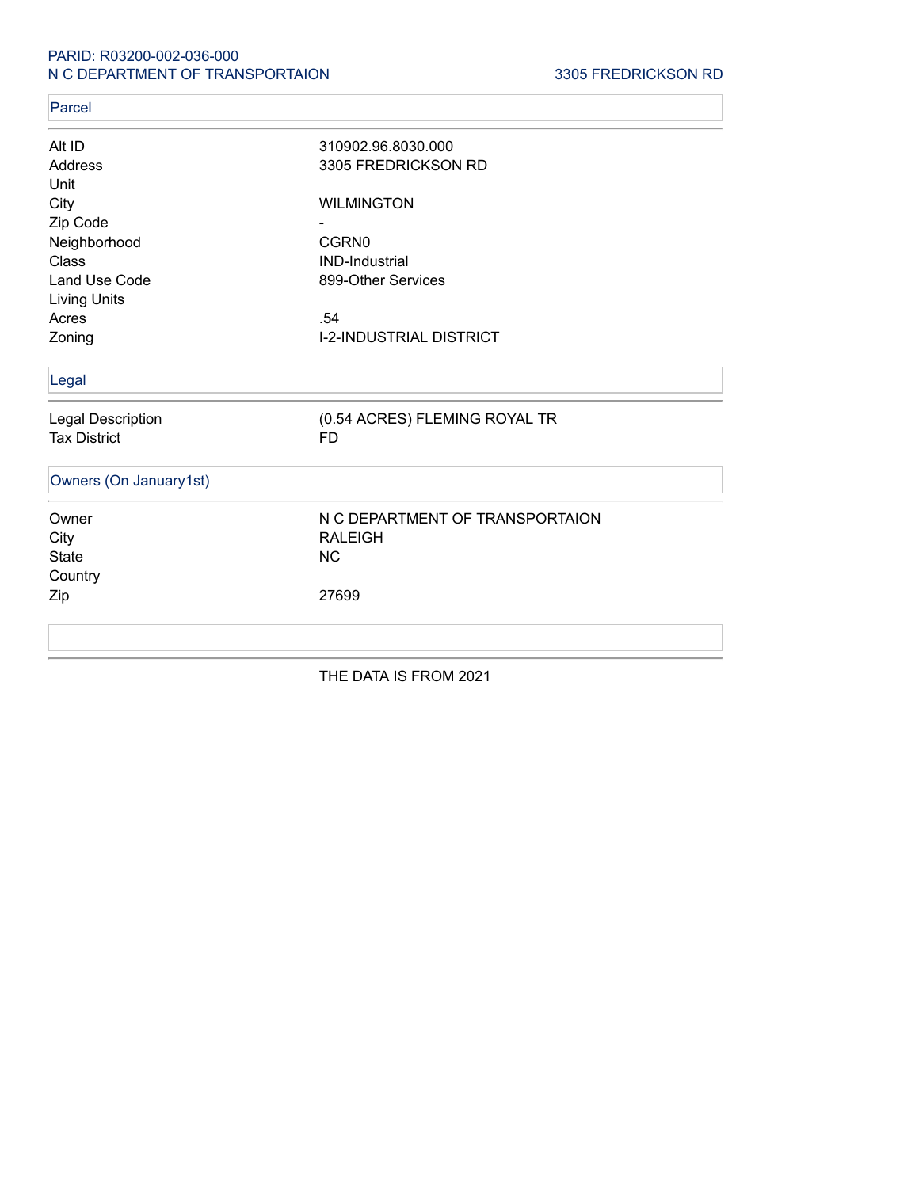### PARID: R03200-002-036-000 N C DEPARTMENT OF TRANSPORTAION 3305 FREDRICKSON RD

### Parcel

| Alt ID                 | 310902.96.8030.000              |
|------------------------|---------------------------------|
| Address                | 3305 FREDRICKSON RD             |
| Unit                   |                                 |
| City                   | <b>WILMINGTON</b>               |
| Zip Code               |                                 |
| Neighborhood           | CGRN0                           |
| Class                  | <b>IND-Industrial</b>           |
| Land Use Code          | 899-Other Services              |
| <b>Living Units</b>    |                                 |
| Acres                  | .54                             |
| Zoning                 | <b>I-2-INDUSTRIAL DISTRICT</b>  |
| Legal                  |                                 |
| Legal Description      | (0.54 ACRES) FLEMING ROYAL TR   |
| <b>Tax District</b>    | <b>FD</b>                       |
| Owners (On January1st) |                                 |
| Owner                  | N C DEPARTMENT OF TRANSPORTAION |
| City                   | <b>RALEIGH</b>                  |
| <b>State</b>           | <b>NC</b>                       |
| Country                |                                 |
| Zip                    | 27699                           |
|                        |                                 |
|                        |                                 |

THE DATA IS FROM 2021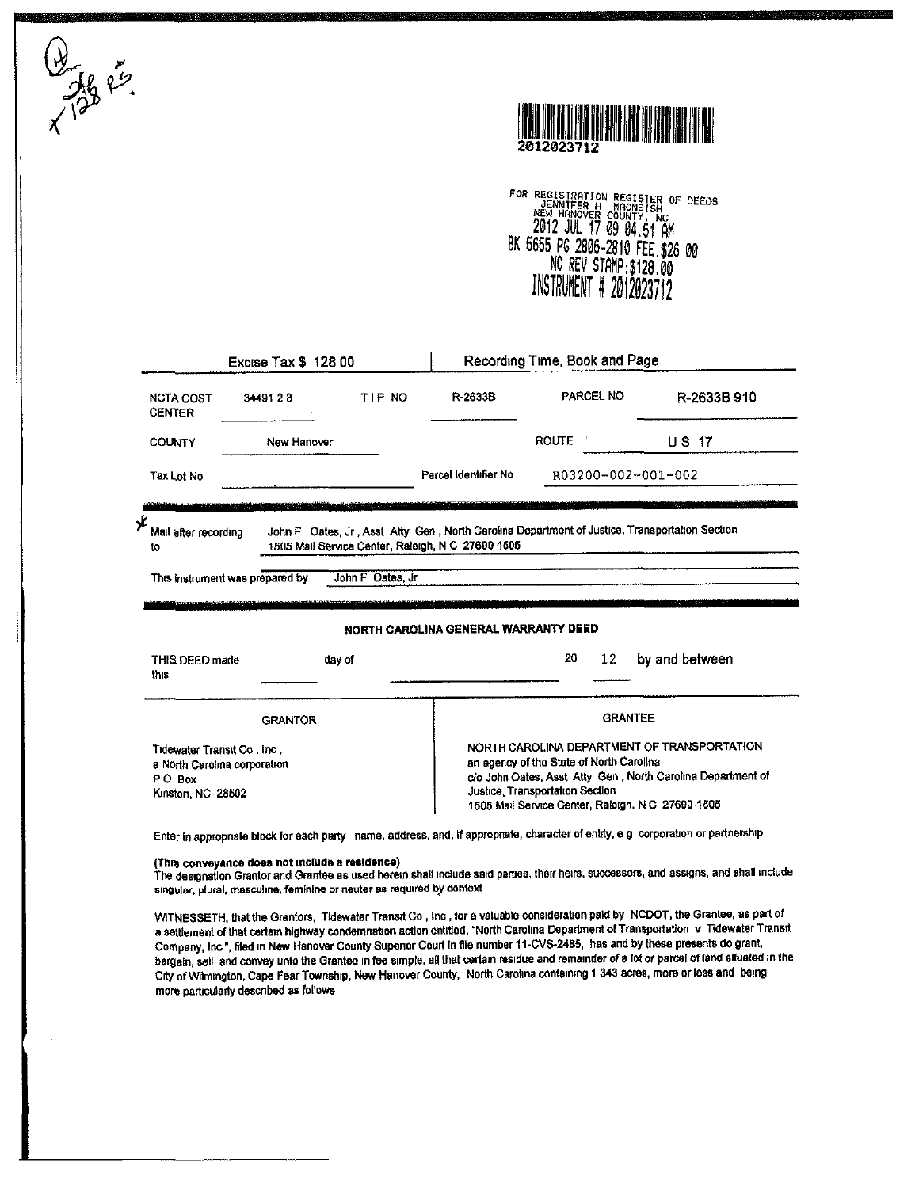$\frac{1}{256}$  er.



FOR REGISTRATION REGISTER OF DEEDS<br>NEW HANDVER COUNTY, NC<br>2012 JUL 17 09 04.51 AM BK 5655 PG 2806-2810 FEE \$26 00<br>NC REV STAMP:\$128.00<br>INSTRUMENT # 2012023712

| <b>Excise Tax \$ 128 00</b>            |                                 |                      | Recording Time, Book and Page                                                                  |                                          |                                                             |
|----------------------------------------|---------------------------------|----------------------|------------------------------------------------------------------------------------------------|------------------------------------------|-------------------------------------------------------------|
| <b>NCTA COST</b><br><b>CENTER</b>      | 3449123                         | TIP NO               | R-2633B                                                                                        | PARCEL NO                                | R-2633B 910                                                 |
| <b>COUNTY</b>                          | New Hanover                     |                      |                                                                                                | ROUTE 1                                  | <b>US 17</b>                                                |
| Tax Lot No                             |                                 | Parcel Identifier No | R03200-002-001-002                                                                             |                                          |                                                             |
| Mail after recording                   |                                 |                      | John F Oates, Jr., Asst Atty Gen, North Carolina Department of Justice, Transportation Section |                                          |                                                             |
| to                                     |                                 |                      | 1505 Mail Service Center, Raleigh, N C 27699-1505                                              |                                          |                                                             |
|                                        | This instrument was prepared by | John F Oates, Jr.    |                                                                                                |                                          |                                                             |
|                                        |                                 |                      |                                                                                                |                                          |                                                             |
|                                        |                                 |                      | NORTH CAROLINA GENERAL WARRANTY DEED                                                           |                                          |                                                             |
| THIS DEED made<br>this                 |                                 | day of               |                                                                                                | 20<br>12                                 | by and between                                              |
|                                        | <b>GRANTOR</b>                  |                      |                                                                                                | <b>GRANTEE</b>                           |                                                             |
| Tidewater Transit Co., Inc.,           |                                 |                      |                                                                                                |                                          | NORTH CAROLINA DEPARTMENT OF TRANSPORTATION                 |
| a North Carolina corporation<br>PO Box |                                 |                      |                                                                                                | an agency of the State of North Carolina | c/o John Oates, Asst Atty Gen, North Carolina Department of |

#### (This conveyance does not include a residence)

The designation Grantor and Grantee as used herein shall include said parties, their heirs, successors, and assigns, and shall include singular, plural, masculine, feminine or neuter as required by context

WITNESSETH, that the Grantors, Tidewater Transit Co, Inc, for a valuable consideration pald by NCDOT, the Grantee, as part of a settlement of that certain highway condemnation action entitled, "North Carolina Department of Transportation v Tidewater Transit Company, Inc \*, filed in New Hanover County Supenor Court in file number 11-CVS-2485, has and by these presents do grant, bargain, sell and convey unto the Grantee in fee simple, all that certain residue and remainder of a lot or parcel of land situated in the City of Wilmington, Cape Fear Township, New Hanover County, North Carolina containing 1 343 acres, more or less and being more particularly described as follows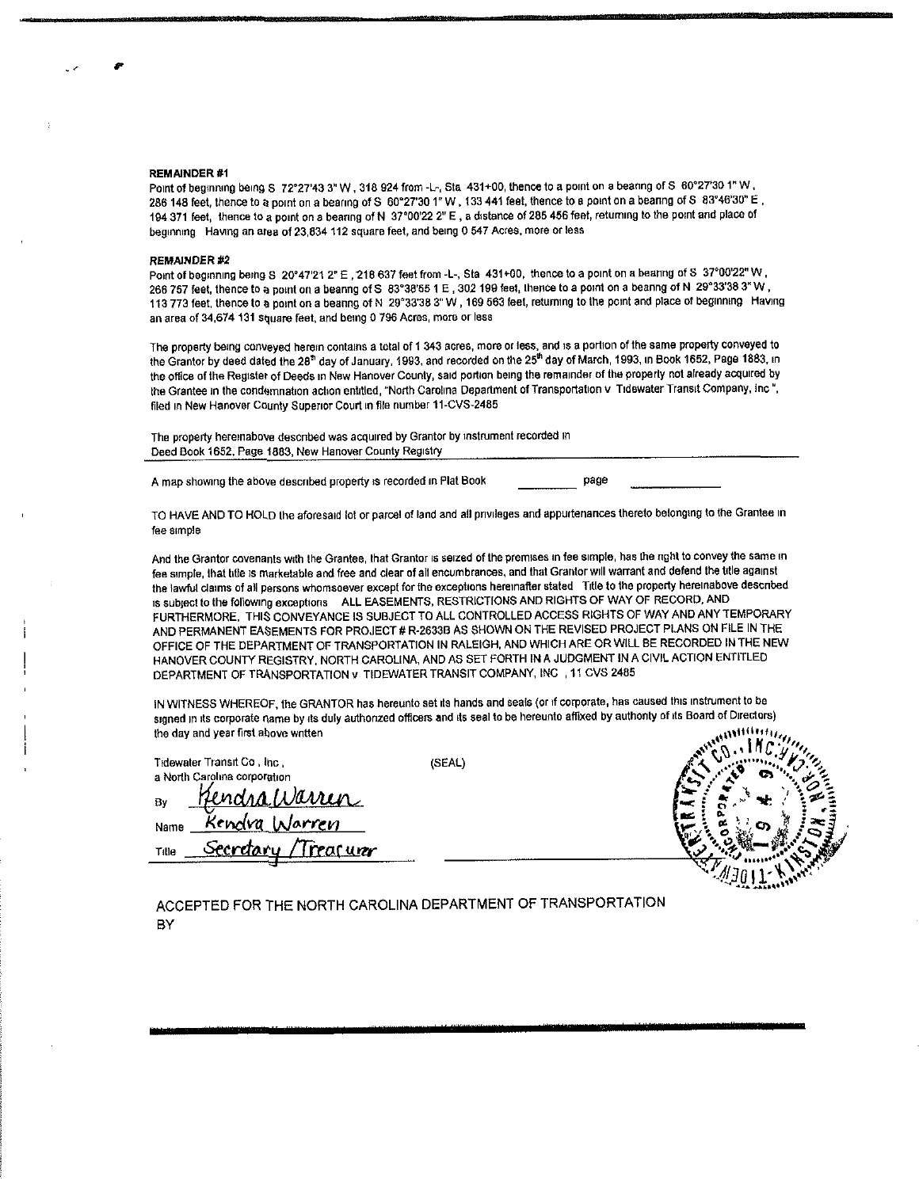#### **REMAINDER#1**

Point of beginning being S 72°27'43 3" W, 318 924 from -L-, Sta 431+00, thence to a point on a bearing of S 60°27'30 1" W. 286 148 feet, thence to a point on a bearing of S 60°27'30 1" W, 133 441 feet, thence to a point on a bearing of S 83°46'30" E, 194 371 feet, thence to a point on a bearing of N 37°00'22 2" E, a distance of 285 456 feet, returning to the point and place of beginning Having an area of 23.834 112 square feet, and being 0.547 Acres, more or less

#### **REMAINDER #2**

Point of beginning being S 20°47'21 2" E, 218 637 feet from -L-, Sta 431+00, thence to a point on a bearing of S 37°00'22" W, 266 757 feet, thence to a point on a beanng of S 83°38'55 1 E, 302 199 feet, thence to a point on a beanng of N 29°33'38 3" W. 113 773 feet, thence to a point on a beanng of N 29°33'38 3"W, 169 563 feet, returning to the point and place of beginning Having an area of 34,674 131 square feet, and being 0 796 Acres, more or less

The property being conveyed herein contains a total of 1 343 acres, more or less, and is a portion of the same property conveyed to the Grantor by deed dated the 28<sup>th</sup> day of January, 1993, and recorded on the 25<sup>th</sup> day of March, 1993, in Book 1652, Page 1883, in the office of the Register of Deeds in New Hanover County, said portion being the remainder of the property not already acquired by the Grantee in the condemnation action entitled, "North Carolina Department of Transportation v Tidewater Transit Company, Inc", filed in New Hanover County Superior Court in file number 11-CVS-2485

The property heremabove described was acquired by Grantor by instrument recorded in Deed Book 1652, Page 1883, New Hanover County Registry

A map showing the above described property is recorded in Plat Book

page

TO HAVE AND TO HOLD the aforesaid tot or parcel of land and all privileges and appurtenances thereto belonging to the Grantee in fee simple

And the Grantor covenants with the Grantee, that Grantor is seized of the premises in fee simple, has the right to convey the same in fee simple, that title is marketable and free and clear of all encumbrances, and that Grantor will warrant and defend the title against the lawful claims of all persons whomsoever except for the exceptions hereinafter stated Title to the property hereinabove described is subject to the following exceptions ALL EASEMENTS, RESTRICTIONS AND RIGHTS OF WAY OF RECORD, AND FURTHERMORE, THIS CONVEYANCE IS SUBJECT TO ALL CONTROLLED ACCESS RIGHTS OF WAY AND ANY TEMPORARY AND PERMANENT EASEMENTS FOR PROJECT # R-2633B AS SHOWN ON THE REVISED PROJECT PLANS ON FILE IN THE OFFICE OF THE DEPARTMENT OF TRANSPORTATION IN RALEIGH, AND WHICH ARE OR WILL BE RECORDED IN THE NEW HANOVER COUNTY REGISTRY, NORTH CAROLINA, AND AS SET FORTH IN A JUDGMENT IN A CIVIL ACTION ENTITLED DEPARTMENT OF TRANSPORTATION v TIDEWATER TRANSIT COMPANY, INC , 11 CVS 2485

IN WITNESS WHEREOF, the GRANTOR has hereunto set its hands and seals (or if corporate, has caused this instrument to be signed in its corporate name by its duly authonzed officers and its seal to be hereunto affixed by authonty of its Board of Directors) **SECURITY OF STATE** the day and year first above written

|                                          |        | $\mathbf{a}$ |
|------------------------------------------|--------|--------------|
| Tidewater Transit Co, Inc.               | (SEAL) |              |
| a North Carolina corporation             |        |              |
| sarren<br>Bv                             |        |              |
| Kendva Warren<br>Name                    |        | ĸ<br>ст      |
| rear urer<br><u>erda</u><br>やめに<br>Tille |        |              |
|                                          |        |              |
|                                          |        |              |

### ACCEPTED FOR THE NORTH CAROLINA DEPARTMENT OF TRANSPORTATION BY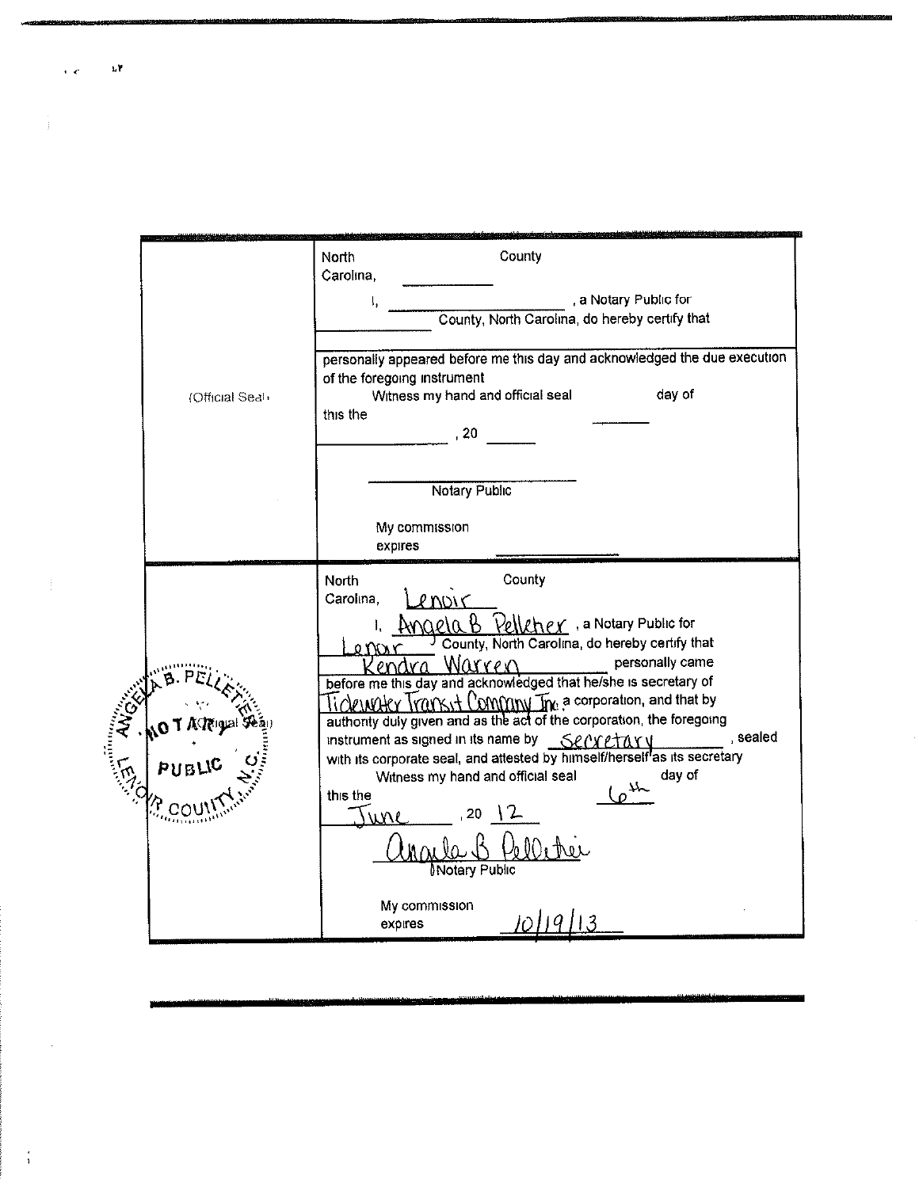|              | (Official Seah | County<br>North<br>Carolina,<br>, a Notary Public for<br>County, North Carolina, do hereby certify that<br>personally appeared before me this day and acknowledged the due execution<br>of the foregoing instrument<br>Witness my hand and official seal<br>day of<br>this the<br>20                                                                                                                                                                                                                                                                                                                                                                                                                                                                                                                                |
|--------------|----------------|---------------------------------------------------------------------------------------------------------------------------------------------------------------------------------------------------------------------------------------------------------------------------------------------------------------------------------------------------------------------------------------------------------------------------------------------------------------------------------------------------------------------------------------------------------------------------------------------------------------------------------------------------------------------------------------------------------------------------------------------------------------------------------------------------------------------|
|              |                | <b>Notary Public</b><br>My commission<br>expires                                                                                                                                                                                                                                                                                                                                                                                                                                                                                                                                                                                                                                                                                                                                                                    |
| <b>WARDS</b> |                | County<br>North<br>Carolina,<br>P MW C<br>$A$ m $Q$ e $Q$ $B$ $B$ $Q$ e $Q$ $R$ $B$ e $C$ , a Notary Public for<br>County, North Carolina, do hereby certify that<br>personally came<br>Warren<br>before me this day and acknowledged that he/she is secretary of<br>$\alpha$ with $\alpha$ $\alpha$ $\alpha$ $\beta$ $\beta$ $\beta$ $\gamma$ $\alpha$ $\beta$ $\gamma$ $\alpha$ $\beta$ $\gamma$ $\alpha$ $\beta$ $\gamma$ $\alpha$ $\beta$ $\gamma$<br>authority duly given and as the act of the corporation, the foregoing<br>, sealed<br>instrument as signed in its name by Sengetary<br>with its corporate seal, and attested by himself/herself <sup>l</sup> as its secretary<br>day of<br>Witness my hand and official seal<br>ـہلا<br>this the<br>20<br><b>Notary Public</b><br>My commission<br>expires |

 $\ddot{\phantom{0}}$ 

 $\frac{1}{T} \left( \frac{1}{T} \right) = \frac{1}{T} \left( \frac{1}{T} \right)$ 

 $\langle \hat{A} \rangle$  ,  $\langle \hat{A} \rangle$ 

 $\frac{1}{4}$ 

 $\mathbf{h}^{\dagger}$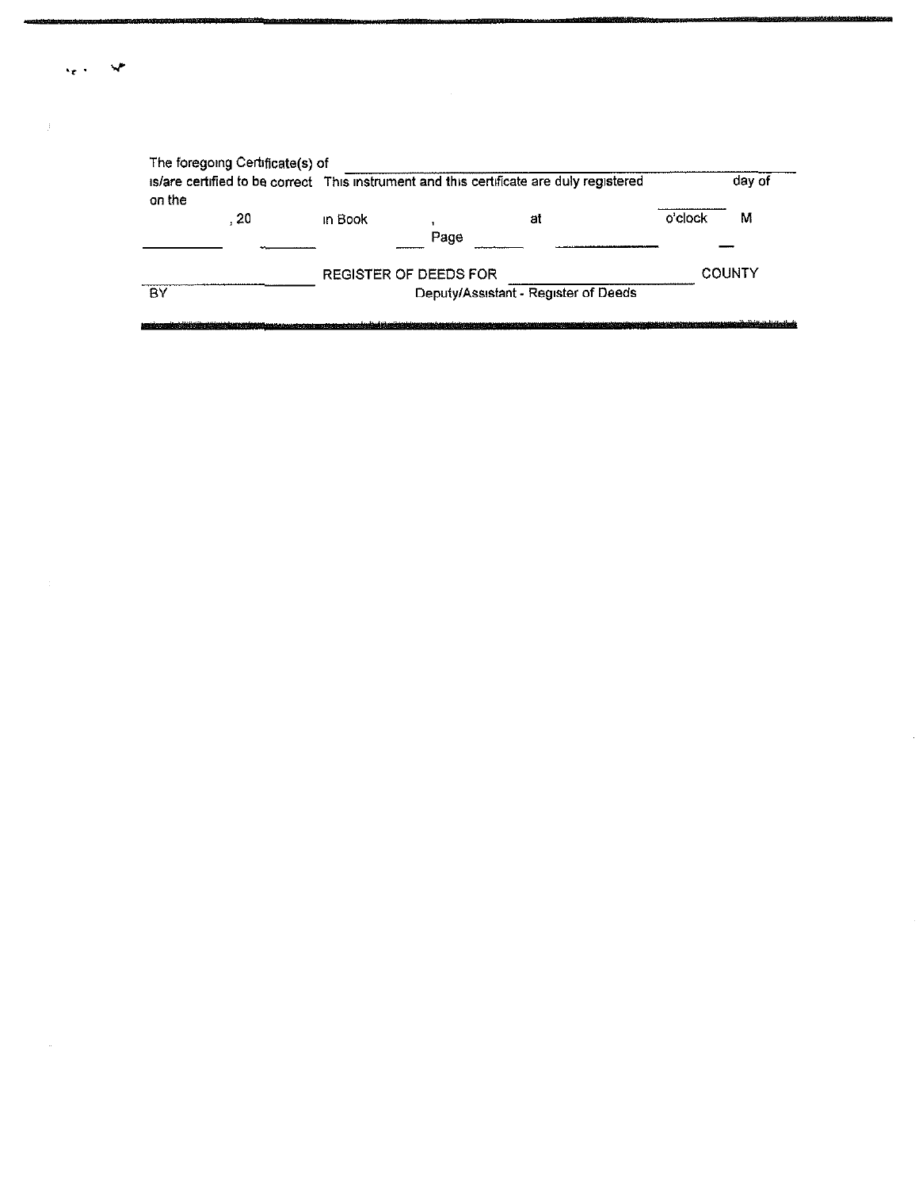| on the |      | is/are certified to be correct This instrument and this certificate are duly registered |                       |                                      |         | day of        |
|--------|------|-----------------------------------------------------------------------------------------|-----------------------|--------------------------------------|---------|---------------|
|        | - 20 | in Book                                                                                 |                       | at                                   | o'clock | М             |
|        |      |                                                                                         | Page                  |                                      |         |               |
|        |      |                                                                                         | REGISTER OF DEEDS FOR |                                      |         | <b>COUNTY</b> |
| BY     |      |                                                                                         |                       | Deputy/Assistant - Register of Deeds |         |               |

 $\epsilon_{\rm eff}=-\Delta_{\rm eff}^{\rm in}$ 

 $\mathbf{J}^{\text{max}}$